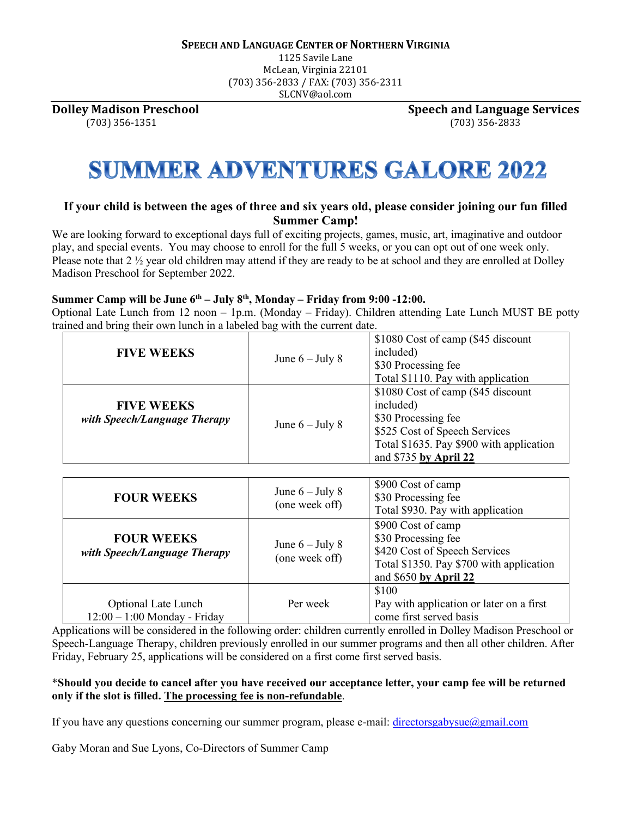1125 Savile Lane McLean, Virginia 22101 (703) 356-2833 / FAX: (703) 356-2311 SLCNV@aol.com

**Dolley Madison Preschool Speech and Language Services** (703) 356-1351 (703) 356-2833

# **SUMMER ADVENTURES GALORE 2022**

### **If your child is between the ages of three and six years old, please consider joining our fun filled Summer Camp!**

We are looking forward to exceptional days full of exciting projects, games, music, art, imaginative and outdoor play, and special events. You may choose to enroll for the full 5 weeks, or you can opt out of one week only. Please note that 2 ½ year old children may attend if they are ready to be at school and they are enrolled at Dolley Madison Preschool for September 2022.

#### **Summer Camp will be June 6th – July 8th , Monday – Friday from 9:00 -12:00.**

Optional Late Lunch from 12 noon – 1p.m. (Monday – Friday). Children attending Late Lunch MUST BE potty trained and bring their own lunch in a labeled bag with the current date.

| <b>FIVE WEEKS</b>                                 | June $6 -$ July 8 | \$1080 Cost of camp (\$45 discount<br>included)<br>\$30 Processing fee<br>Total \$1110. Pay with application                                                                 |
|---------------------------------------------------|-------------------|------------------------------------------------------------------------------------------------------------------------------------------------------------------------------|
| <b>FIVE WEEKS</b><br>with Speech/Language Therapy | June $6 -$ July 8 | \$1080 Cost of camp (\$45 discount<br>included)<br>\$30 Processing fee<br>\$525 Cost of Speech Services<br>Total \$1635. Pay \$900 with application<br>and \$735 by April 22 |

| <b>FOUR WEEKS</b>                                            | June $6 -$ July 8<br>(one week off) | \$900 Cost of camp<br>\$30 Processing fee<br>Total \$930. Pay with application                                                                  |
|--------------------------------------------------------------|-------------------------------------|-------------------------------------------------------------------------------------------------------------------------------------------------|
| <b>FOUR WEEKS</b><br>with Speech/Language Therapy            | June $6 -$ July 8<br>(one week off) | \$900 Cost of camp<br>\$30 Processing fee<br>\$420 Cost of Speech Services<br>Total \$1350. Pay \$700 with application<br>and \$650 by April 22 |
| <b>Optional Late Lunch</b><br>$12:00 - 1:00$ Monday - Friday | Per week                            | \$100<br>Pay with application or later on a first<br>come first served basis                                                                    |

Applications will be considered in the following order: children currently enrolled in Dolley Madison Preschool or Speech-Language Therapy, children previously enrolled in our summer programs and then all other children. After Friday, February 25, applications will be considered on a first come first served basis.

#### \***Should you decide to cancel after you have received our acceptance letter, your camp fee will be returned only if the slot is filled. The processing fee is non-refundable**.

If you have any questions concerning our summer program, please e-mail: directorsgabysue $\omega$ gmail.com

Gaby Moran and Sue Lyons, Co-Directors of Summer Camp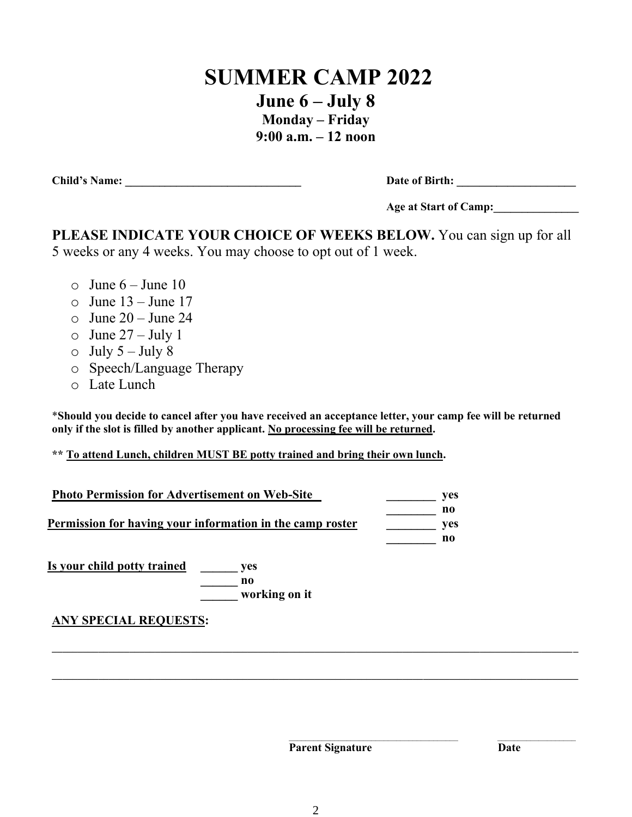### **SUMMER CAMP 2022**

**June 6 – July 8 Monday – Friday 9:00 a.m. – 12 noon**

**Child's Name: \_\_\_\_\_\_\_\_\_\_\_\_\_\_\_\_\_\_\_\_\_\_\_\_\_\_\_\_\_\_\_ Date of Birth: \_\_\_\_\_\_\_\_\_\_\_\_\_\_\_\_\_\_\_\_\_**

| Date of Birth: |  |  |
|----------------|--|--|
|                |  |  |

**Age at Start of Camp:\_\_\_\_\_\_\_\_\_\_\_\_\_\_\_**

**PLEASE INDICATE YOUR CHOICE OF WEEKS BELOW.** You can sign up for all 5 weeks or any 4 weeks. You may choose to opt out of 1 week.

- $\circ$  June 6 June 10
- $\circ$  June 13 June 17
- $\circ$  June 20 June 24
- $\circ$  June 27 July 1
- $\circ$  July 5 July 8
- o Speech/Language Therapy
- o Late Lunch

\***Should you decide to cancel after you have received an acceptance letter, your camp fee will be returned only if the slot is filled by another applicant. No processing fee will be returned.** 

**\*\* To attend Lunch, children MUST BE potty trained and bring their own lunch.**

| Permission for having your information in the camp roster |  |
|-----------------------------------------------------------|--|
|                                                           |  |

**\_\_\_\_\_\_ no \_\_\_\_\_\_ working on it**

**ANY SPECIAL REQUESTS:** 

**Parent Signature Date** 

**\_\_\_\_\_\_\_\_\_\_\_\_\_\_\_\_\_\_\_\_\_\_\_\_\_\_\_\_\_\_\_\_\_\_\_\_\_\_\_\_\_\_\_\_\_\_\_\_\_\_\_\_\_\_\_\_\_\_\_\_\_\_\_\_\_\_\_\_\_\_\_\_\_\_\_\_\_\_\_\_\_\_\_\_\_\_\_\_\_\_\_\_\_\_\_\_\_\_\_\_\_\_**

**\_\_\_\_\_\_\_\_\_\_\_\_\_\_\_\_\_\_\_\_\_\_\_\_\_\_\_\_\_\_\_\_\_\_\_\_\_\_\_\_\_\_\_\_\_\_\_\_\_\_\_\_\_\_\_\_\_\_\_\_\_\_\_\_\_\_\_\_\_\_\_\_\_\_\_\_\_\_\_\_\_\_\_\_\_\_\_\_\_\_\_\_\_\_\_\_\_\_\_\_\_\_**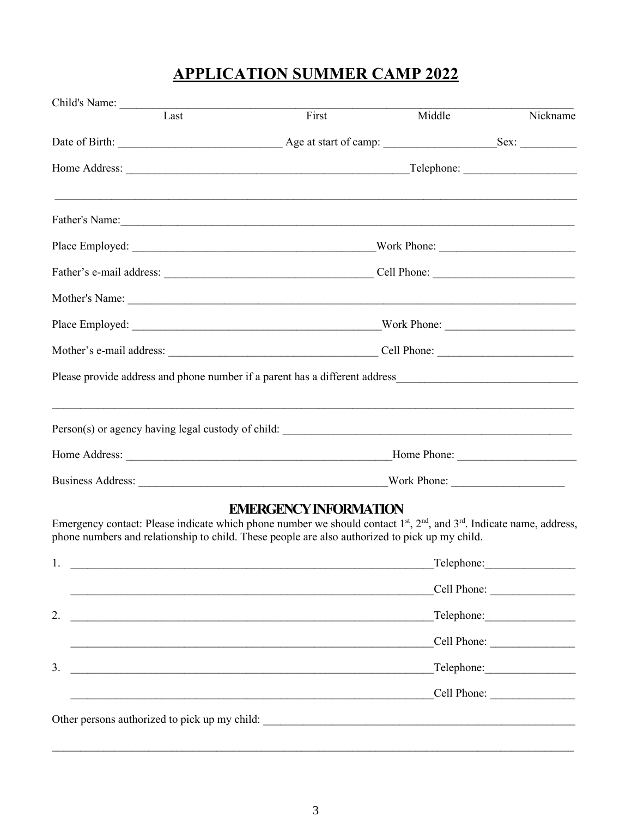## **APPLICATION SUMMER CAMP 2022**

| Child's Name:                                                                                                                                                                                                                 |                                                                      |            |             |  |
|-------------------------------------------------------------------------------------------------------------------------------------------------------------------------------------------------------------------------------|----------------------------------------------------------------------|------------|-------------|--|
| Last                                                                                                                                                                                                                          | First                                                                | Middle     | Nickname    |  |
|                                                                                                                                                                                                                               |                                                                      |            |             |  |
|                                                                                                                                                                                                                               |                                                                      | Telephone: |             |  |
|                                                                                                                                                                                                                               |                                                                      |            |             |  |
|                                                                                                                                                                                                                               |                                                                      |            |             |  |
|                                                                                                                                                                                                                               |                                                                      |            |             |  |
|                                                                                                                                                                                                                               |                                                                      |            |             |  |
|                                                                                                                                                                                                                               |                                                                      |            |             |  |
|                                                                                                                                                                                                                               |                                                                      |            |             |  |
|                                                                                                                                                                                                                               |                                                                      |            |             |  |
|                                                                                                                                                                                                                               |                                                                      |            |             |  |
|                                                                                                                                                                                                                               |                                                                      |            |             |  |
|                                                                                                                                                                                                                               |                                                                      |            |             |  |
| Emergency contact: Please indicate which phone number we should contact $1st$ , $2nd$ , and $3rd$ . Indicate name, address,<br>phone numbers and relationship to child. These people are also authorized to pick up my child. | <b>EMERGENCY INFORMATION</b>                                         |            |             |  |
| 1.                                                                                                                                                                                                                            | <u> 1989 - Johann Stein, mars an de Britannich (b. 1989)</u>         |            | Telephone:  |  |
|                                                                                                                                                                                                                               |                                                                      |            | Cell Phone: |  |
| 2.                                                                                                                                                                                                                            |                                                                      |            |             |  |
|                                                                                                                                                                                                                               |                                                                      |            |             |  |
| 3.                                                                                                                                                                                                                            |                                                                      |            |             |  |
|                                                                                                                                                                                                                               | <u> 1989 - Johann Barn, mars an t-Amerikaansk komponent (* 1989)</u> |            |             |  |
|                                                                                                                                                                                                                               |                                                                      |            |             |  |